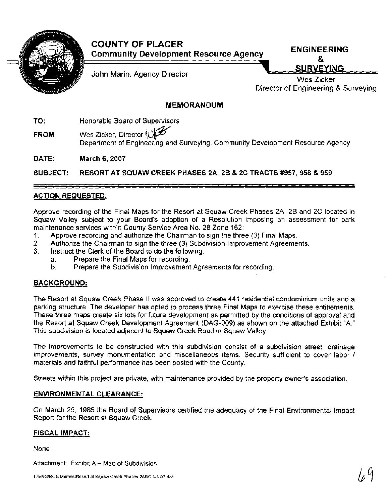

| <b>COUNTY OF PLACER</b>                      |                    |
|----------------------------------------------|--------------------|
| <b>Community Development Resource Agency</b> | <b>ENGINEERING</b> |
|                                              |                    |

John Marin, Agency Director

8. **SURVEYING** Wes Zicker

Director of Engineering & Surveying

## **MEMORANDUM**

**TO: Honorable Board of Supervisors** 

**FO: Honorable Board of Supervisors**<br>**FROM:** Wes Zicker, Director  $\mathcal{L}(\mathcal{L})$  Department of Engineering and Su Department of Engineering and Surveying, Community Development Resource Agency

**DATE: March 6,2007** 

**SUBJECT: RESORT AT SQUAW CREEK PHASES 2A, 2B** & **2C TRACTS #957,958** & **959** 

# **ACTION REQUESTED:**

Approve recording of the Final Maps for the Resort at Squaw Creek Phases 2A, 2B and 2C located in Squaw Valley subject to your Board's adoption of a Resolution imposing an assessment for park maintenance services within County Service Area No. 28 Zone 162:

- 1. Approve recording and authorize the Chairman to sign the three (3) Final Maps.
- **2.** Authorize the Chairman to sign the three (3) Subdivision lmprovement Agreements.
	- Instruct the Clerk of the Board to do the following:
		- a. Prepare the Final Maps for recording.
		- b. Prepare the Subdivision Improvement Agreements for recording.

### **BACKGROUND:**

The Resort at Squaw Creek Phase II was approved to create 441 residential condominium units and a parking structure. The developer has opted to process three Final Maps to exercise these entitlements. These three maps create six lots for future development as permitted by the conditions of approval and the Resort at Squaw Creek Development Agreement (DAG-009) as shown on the attached Exhibit "A." This subdivision is located adjacent to Squaw Creek Road in Squaw Valley.

The improvements to be constructed with this subdivision consist of a subdivision street, drainage improvements, survey monumentation and miscellaneous items. Security sufficient to cover labor / materials and faithful performance has been posted with the County.

Streets within this project are private, with maintenance provided by the property owner's association.

### **ENVIRONMENTAL CLEARANCE:**

On March 25, 1985 the Board of Supervisors certified the adequacy of the Final Environmental Impact Report for the Resort at Squaw Creek.

#### **FISCAL IMPACT:**

None

Attachment: Exhibit A - Map of Subdivision